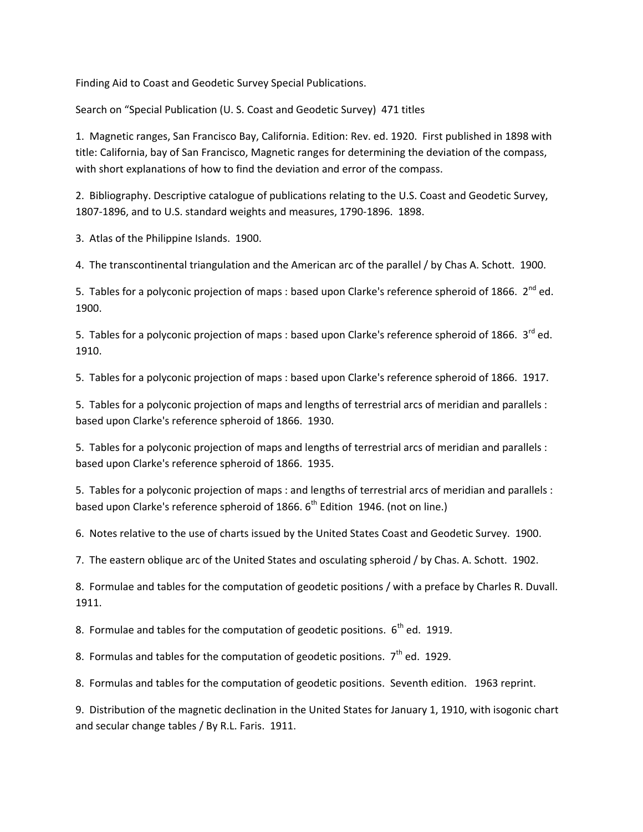Finding Aid to Coast and Geodetic Survey Special Publications.

Search on "Special Publication (U. S. Coast and Geodetic Survey) 471 titles

1. Magnetic ranges, San Francisco Bay, California. Edition: Rev. ed. 1920. First published in 1898 with title: California, bay of San Francisco, Magnetic ranges for determining the deviation of the compass, with short explanations of how to find the deviation and error of the compass.

2. Bibliography. Descriptive catalogue of publications relating to the U.S. Coast and Geodetic Survey, 1807-1896, and to U.S. standard weights and measures, 1790-1896. 1898.

3. Atlas of the Philippine Islands. 1900.

4. The transcontinental triangulation and the American arc of the parallel / by Chas A. Schott. 1900.

5. Tables for a polyconic projection of maps : based upon Clarke's reference spheroid of 1866.  $2^{nd}$  ed. 1900.

5. Tables for a polyconic projection of maps : based upon Clarke's reference spheroid of 1866.  $3^{rd}$  ed. 1910.

5. Tables for a polyconic projection of maps : based upon Clarke's reference spheroid of 1866. 1917.

5. Tables for a polyconic projection of maps and lengths of terrestrial arcs of meridian and parallels : based upon Clarke's reference spheroid of 1866. 1930.

5. Tables for a polyconic projection of maps and lengths of terrestrial arcs of meridian and parallels : based upon Clarke's reference spheroid of 1866. 1935.

5. Tables for a polyconic projection of maps : and lengths of terrestrial arcs of meridian and parallels : based upon Clarke's reference spheroid of 1866.  $6<sup>th</sup>$  Edition 1946. (not on line.)

6. Notes relative to the use of charts issued by the United States Coast and Geodetic Survey. 1900.

7. The eastern oblique arc of the United States and osculating spheroid / by Chas. A. Schott. 1902.

8. Formulae and tables for the computation of geodetic positions / with a preface by Charles R. Duvall. 1911.

8. Formulae and tables for the computation of geodetic positions.  $6<sup>th</sup>$  ed. 1919.

8. Formulas and tables for the computation of geodetic positions.  $7<sup>th</sup>$  ed. 1929.

8. Formulas and tables for the computation of geodetic positions. Seventh edition. 1963 reprint.

9. Distribution of the magnetic declination in the United States for January 1, 1910, with isogonic chart and secular change tables / By R.L. Faris. 1911.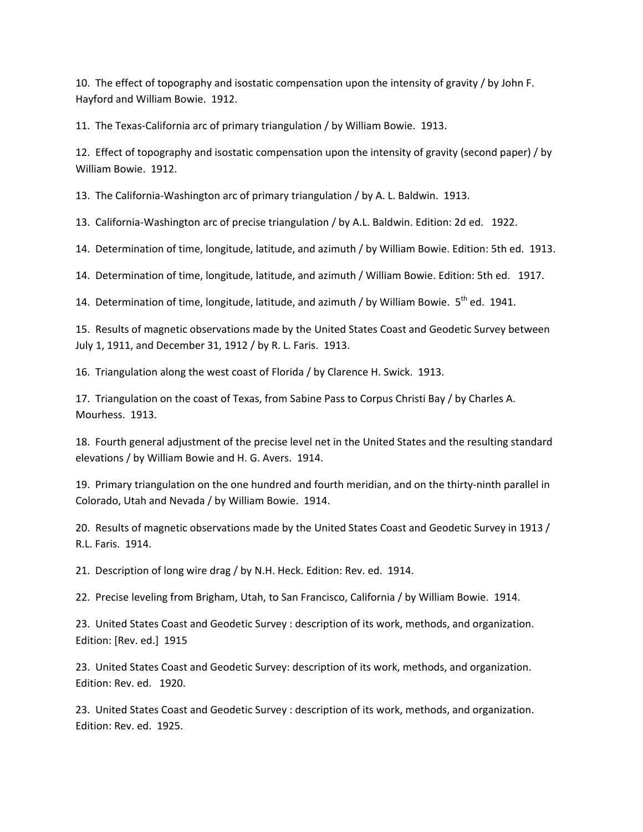10. The effect of topography and isostatic compensation upon the intensity of gravity / by John F. Hayford and William Bowie. 1912.

11. The Texas-California arc of primary triangulation / by William Bowie. 1913.

12. Effect of topography and isostatic compensation upon the intensity of gravity (second paper) / by William Bowie. 1912.

13. The California-Washington arc of primary triangulation / by A. L. Baldwin. 1913.

13. California-Washington arc of precise triangulation / by A.L. Baldwin. Edition: 2d ed. 1922.

14. Determination of time, longitude, latitude, and azimuth / by William Bowie. Edition: 5th ed. 1913.

14. Determination of time, longitude, latitude, and azimuth / William Bowie. Edition: 5th ed. 1917.

14. Determination of time, longitude, latitude, and azimuth / by William Bowie.  $5<sup>th</sup>$  ed. 1941.

15. Results of magnetic observations made by the United States Coast and Geodetic Survey between July 1, 1911, and December 31, 1912 / by R. L. Faris. 1913.

16. Triangulation along the west coast of Florida / by Clarence H. Swick. 1913.

17. Triangulation on the coast of Texas, from Sabine Pass to Corpus Christi Bay / by Charles A. Mourhess. 1913.

18. Fourth general adjustment of the precise level net in the United States and the resulting standard elevations / by William Bowie and H. G. Avers. 1914.

19. Primary triangulation on the one hundred and fourth meridian, and on the thirty-ninth parallel in Colorado, Utah and Nevada / by William Bowie. 1914.

20. Results of magnetic observations made by the United States Coast and Geodetic Survey in 1913 / R.L. Faris. 1914.

21. Description of long wire drag / by N.H. Heck. Edition: Rev. ed. 1914.

22. Precise leveling from Brigham, Utah, to San Francisco, California / by William Bowie. 1914.

23. United States Coast and Geodetic Survey : description of its work, methods, and organization. Edition: [Rev. ed.] 1915

23. United States Coast and Geodetic Survey: description of its work, methods, and organization. Edition: Rev. ed. 1920.

23. United States Coast and Geodetic Survey : description of its work, methods, and organization. Edition: Rev. ed. 1925.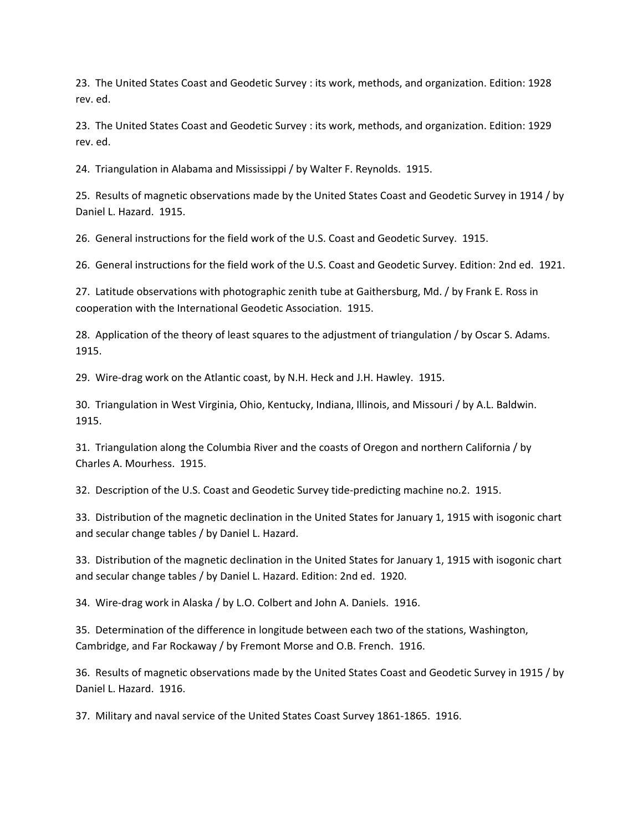23. The United States Coast and Geodetic Survey : its work, methods, and organization. Edition: 1928 rev. ed.

23. The United States Coast and Geodetic Survey : its work, methods, and organization. Edition: 1929 rev. ed.

24. Triangulation in Alabama and Mississippi / by Walter F. Reynolds. 1915.

25. Results of magnetic observations made by the United States Coast and Geodetic Survey in 1914 / by Daniel L. Hazard. 1915.

26. General instructions for the field work of the U.S. Coast and Geodetic Survey. 1915.

26. General instructions for the field work of the U.S. Coast and Geodetic Survey. Edition: 2nd ed. 1921.

27. Latitude observations with photographic zenith tube at Gaithersburg, Md. / by Frank E. Ross in cooperation with the International Geodetic Association. 1915.

28. Application of the theory of least squares to the adjustment of triangulation / by Oscar S. Adams. 1915.

29. Wire-drag work on the Atlantic coast, by N.H. Heck and J.H. Hawley. 1915.

30. Triangulation in West Virginia, Ohio, Kentucky, Indiana, Illinois, and Missouri / by A.L. Baldwin. 1915.

31. Triangulation along the Columbia River and the coasts of Oregon and northern California / by Charles A. Mourhess. 1915.

32. Description of the U.S. Coast and Geodetic Survey tide-predicting machine no.2. 1915.

33. Distribution of the magnetic declination in the United States for January 1, 1915 with isogonic chart and secular change tables / by Daniel L. Hazard.

33. Distribution of the magnetic declination in the United States for January 1, 1915 with isogonic chart and secular change tables / by Daniel L. Hazard. Edition: 2nd ed. 1920.

34. Wire-drag work in Alaska / by L.O. Colbert and John A. Daniels. 1916.

35. Determination of the difference in longitude between each two of the stations, Washington, Cambridge, and Far Rockaway / by Fremont Morse and O.B. French. 1916.

36. Results of magnetic observations made by the United States Coast and Geodetic Survey in 1915 / by Daniel L. Hazard. 1916.

37. Military and naval service of the United States Coast Survey 1861-1865. 1916.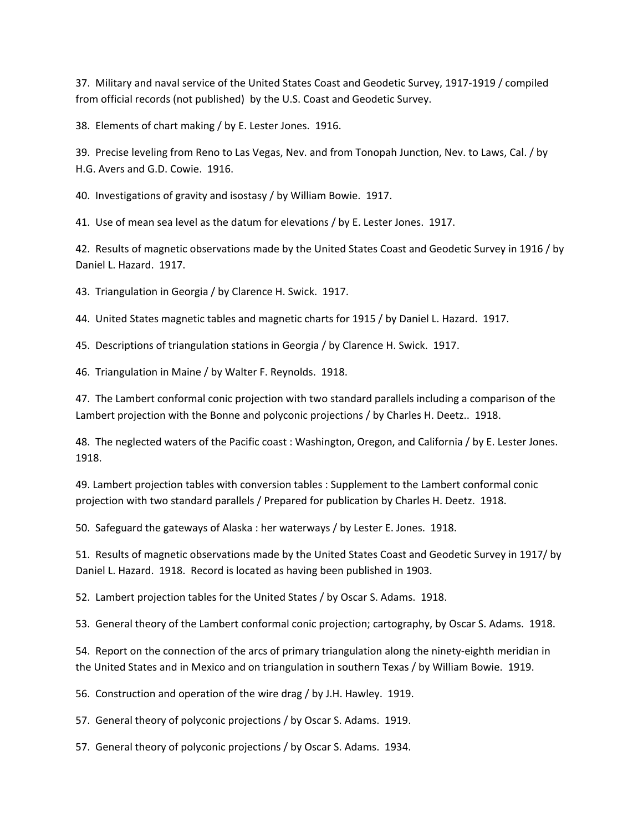37. Military and naval service of the United States Coast and Geodetic Survey, 1917-1919 / compiled from official records (not published) by the U.S. Coast and Geodetic Survey.

38. Elements of chart making / by E. Lester Jones. 1916.

39. Precise leveling from Reno to Las Vegas, Nev. and from Tonopah Junction, Nev. to Laws, Cal. / by H.G. Avers and G.D. Cowie. 1916.

40. Investigations of gravity and isostasy / by William Bowie. 1917.

41. Use of mean sea level as the datum for elevations / by E. Lester Jones. 1917.

42. Results of magnetic observations made by the United States Coast and Geodetic Survey in 1916 / by Daniel L. Hazard. 1917.

43. Triangulation in Georgia / by Clarence H. Swick. 1917.

44. United States magnetic tables and magnetic charts for 1915 / by Daniel L. Hazard. 1917.

45. Descriptions of triangulation stations in Georgia / by Clarence H. Swick. 1917.

46. Triangulation in Maine / by Walter F. Reynolds. 1918.

47. The Lambert conformal conic projection with two standard parallels including a comparison of the Lambert projection with the Bonne and polyconic projections / by Charles H. Deetz.. 1918.

48. The neglected waters of the Pacific coast : Washington, Oregon, and California / by E. Lester Jones. 1918.

49. Lambert projection tables with conversion tables : Supplement to the Lambert conformal conic projection with two standard parallels / Prepared for publication by Charles H. Deetz. 1918.

50. Safeguard the gateways of Alaska : her waterways / by Lester E. Jones. 1918.

51. Results of magnetic observations made by the United States Coast and Geodetic Survey in 1917/ by Daniel L. Hazard. 1918. Record is located as having been published in 1903.

52. Lambert projection tables for the United States / by Oscar S. Adams. 1918.

53. General theory of the Lambert conformal conic projection; cartography, by Oscar S. Adams. 1918.

54. Report on the connection of the arcs of primary triangulation along the ninety-eighth meridian in the United States and in Mexico and on triangulation in southern Texas / by William Bowie. 1919.

56. Construction and operation of the wire drag / by J.H. Hawley. 1919.

57. General theory of polyconic projections / by Oscar S. Adams. 1919.

57. General theory of polyconic projections / by Oscar S. Adams. 1934.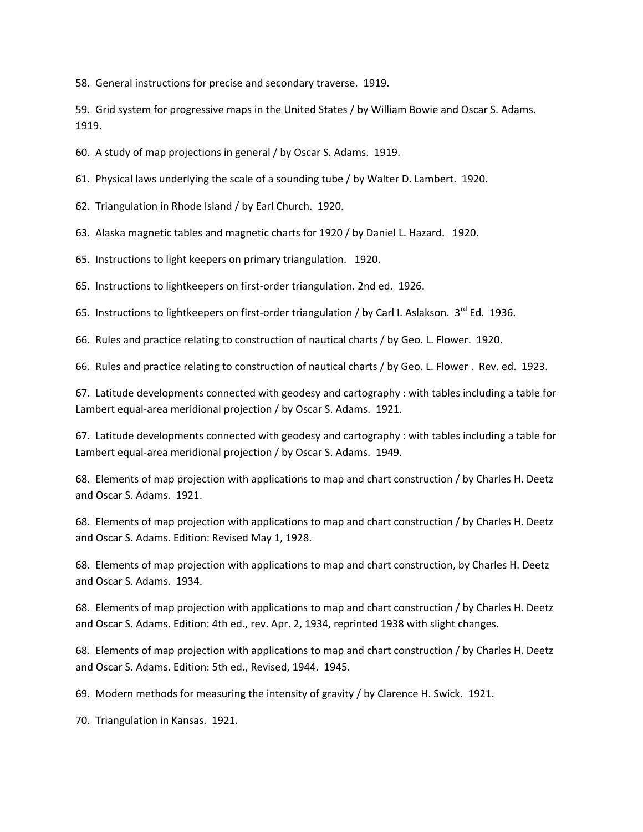58. General instructions for precise and secondary traverse. 1919.

59. Grid system for progressive maps in the United States / by William Bowie and Oscar S. Adams. 1919.

60. A study of map projections in general / by Oscar S. Adams. 1919.

61. Physical laws underlying the scale of a sounding tube / by Walter D. Lambert. 1920.

62. Triangulation in Rhode Island / by Earl Church. 1920.

63. Alaska magnetic tables and magnetic charts for 1920 / by Daniel L. Hazard. 1920.

65. Instructions to light keepers on primary triangulation. 1920.

65. Instructions to lightkeepers on first-order triangulation. 2nd ed. 1926.

65. Instructions to lightkeepers on first-order triangulation / by Carl I. Aslakson. 3<sup>rd</sup> Ed. 1936.

66. Rules and practice relating to construction of nautical charts / by Geo. L. Flower. 1920.

66. Rules and practice relating to construction of nautical charts / by Geo. L. Flower . Rev. ed. 1923.

67. Latitude developments connected with geodesy and cartography : with tables including a table for Lambert equal-area meridional projection / by Oscar S. Adams. 1921.

67. Latitude developments connected with geodesy and cartography : with tables including a table for Lambert equal-area meridional projection / by Oscar S. Adams. 1949.

68. Elements of map projection with applications to map and chart construction / by Charles H. Deetz and Oscar S. Adams. 1921.

68. Elements of map projection with applications to map and chart construction / by Charles H. Deetz and Oscar S. Adams. Edition: Revised May 1, 1928.

68. Elements of map projection with applications to map and chart construction, by Charles H. Deetz and Oscar S. Adams. 1934.

68. Elements of map projection with applications to map and chart construction / by Charles H. Deetz and Oscar S. Adams. Edition: 4th ed., rev. Apr. 2, 1934, reprinted 1938 with slight changes.

68. Elements of map projection with applications to map and chart construction / by Charles H. Deetz and Oscar S. Adams. Edition: 5th ed., Revised, 1944. 1945.

69. Modern methods for measuring the intensity of gravity / by Clarence H. Swick. 1921.

70. Triangulation in Kansas. 1921.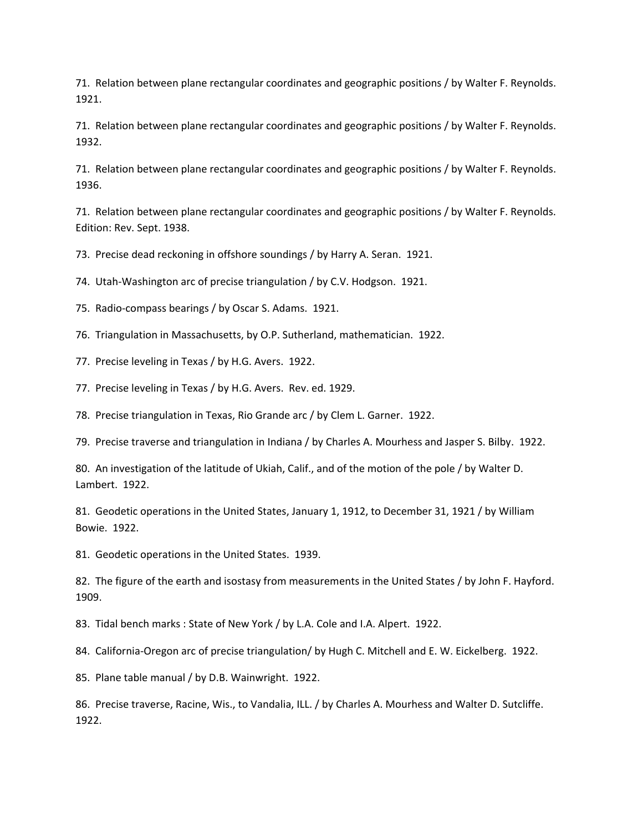71. Relation between plane rectangular coordinates and geographic positions / by Walter F. Reynolds. 1921.

71. Relation between plane rectangular coordinates and geographic positions / by Walter F. Reynolds. 1932.

71. Relation between plane rectangular coordinates and geographic positions / by Walter F. Reynolds. 1936.

71. Relation between plane rectangular coordinates and geographic positions / by Walter F. Reynolds. Edition: Rev. Sept. 1938.

73. Precise dead reckoning in offshore soundings / by Harry A. Seran. 1921.

74. Utah-Washington arc of precise triangulation / by C.V. Hodgson. 1921.

75. Radio-compass bearings / by Oscar S. Adams. 1921.

76. Triangulation in Massachusetts, by O.P. Sutherland, mathematician. 1922.

77. Precise leveling in Texas / by H.G. Avers. 1922.

77. Precise leveling in Texas / by H.G. Avers. Rev. ed. 1929.

78. Precise triangulation in Texas, Rio Grande arc / by Clem L. Garner. 1922.

79. Precise traverse and triangulation in Indiana / by Charles A. Mourhess and Jasper S. Bilby. 1922.

80. An investigation of the latitude of Ukiah, Calif., and of the motion of the pole / by Walter D. Lambert. 1922.

81. Geodetic operations in the United States, January 1, 1912, to December 31, 1921 / by William Bowie. 1922.

81. Geodetic operations in the United States. 1939.

82. The figure of the earth and isostasy from measurements in the United States / by John F. Hayford. 1909.

83. Tidal bench marks : State of New York / by L.A. Cole and I.A. Alpert. 1922.

84. California-Oregon arc of precise triangulation/ by Hugh C. Mitchell and E. W. Eickelberg. 1922.

85. Plane table manual / by D.B. Wainwright. 1922.

86. Precise traverse, Racine, Wis., to Vandalia, ILL. / by Charles A. Mourhess and Walter D. Sutcliffe. 1922.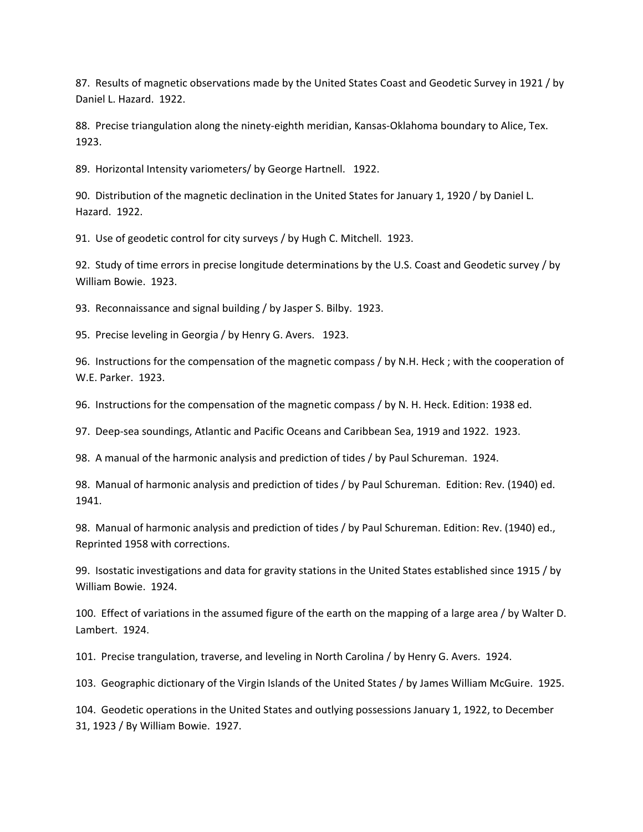87. Results of magnetic observations made by the United States Coast and Geodetic Survey in 1921 / by Daniel L. Hazard. 1922.

88. Precise triangulation along the ninety-eighth meridian, Kansas-Oklahoma boundary to Alice, Tex. 1923.

89. Horizontal Intensity variometers/ by George Hartnell. 1922.

90. Distribution of the magnetic declination in the United States for January 1, 1920 / by Daniel L. Hazard. 1922.

91. Use of geodetic control for city surveys / by Hugh C. Mitchell. 1923.

92. Study of time errors in precise longitude determinations by the U.S. Coast and Geodetic survey / by William Bowie. 1923.

93. Reconnaissance and signal building / by Jasper S. Bilby. 1923.

95. Precise leveling in Georgia / by Henry G. Avers. 1923.

96. Instructions for the compensation of the magnetic compass / by N.H. Heck ; with the cooperation of W.E. Parker. 1923.

96. Instructions for the compensation of the magnetic compass / by N. H. Heck. Edition: 1938 ed.

97. Deep-sea soundings, Atlantic and Pacific Oceans and Caribbean Sea, 1919 and 1922. 1923.

98. A manual of the harmonic analysis and prediction of tides / by Paul Schureman. 1924.

98. Manual of harmonic analysis and prediction of tides / by Paul Schureman. Edition: Rev. (1940) ed. 1941.

98. Manual of harmonic analysis and prediction of tides / by Paul Schureman. Edition: Rev. (1940) ed., Reprinted 1958 with corrections.

99. Isostatic investigations and data for gravity stations in the United States established since 1915 / by William Bowie. 1924.

100. Effect of variations in the assumed figure of the earth on the mapping of a large area / by Walter D. Lambert. 1924.

101. Precise trangulation, traverse, and leveling in North Carolina / by Henry G. Avers. 1924.

103. Geographic dictionary of the Virgin Islands of the United States / by James William McGuire. 1925.

104. Geodetic operations in the United States and outlying possessions January 1, 1922, to December 31, 1923 / By William Bowie. 1927.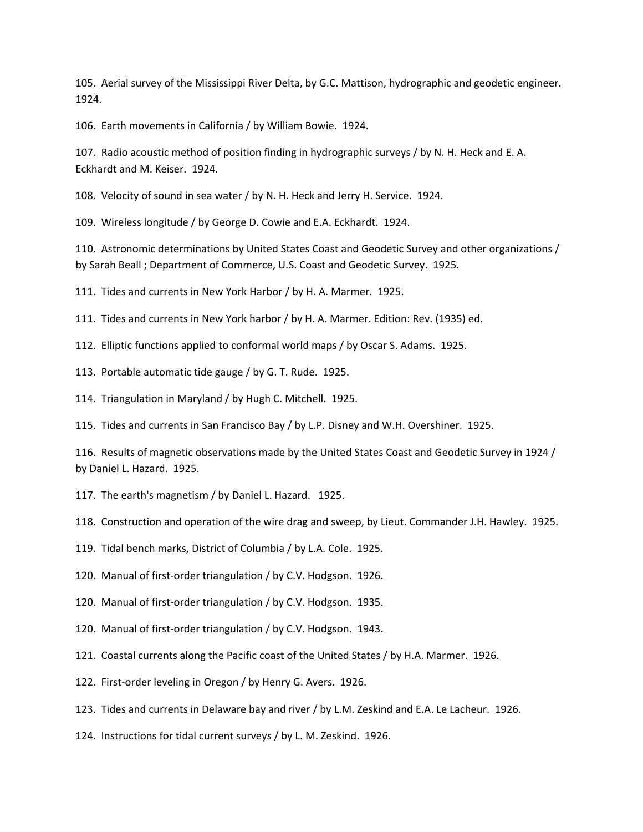105. Aerial survey of the Mississippi River Delta, by G.C. Mattison, hydrographic and geodetic engineer. 1924.

106. Earth movements in California / by William Bowie. 1924.

107. Radio acoustic method of position finding in hydrographic surveys / by N. H. Heck and E. A. Eckhardt and M. Keiser. 1924.

108. Velocity of sound in sea water / by N. H. Heck and Jerry H. Service. 1924.

109. Wireless longitude / by George D. Cowie and E.A. Eckhardt. 1924.

110. Astronomic determinations by United States Coast and Geodetic Survey and other organizations / by Sarah Beall ; Department of Commerce, U.S. Coast and Geodetic Survey. 1925.

111. Tides and currents in New York Harbor / by H. A. Marmer. 1925.

111. Tides and currents in New York harbor / by H. A. Marmer. Edition: Rev. (1935) ed.

112. Elliptic functions applied to conformal world maps / by Oscar S. Adams. 1925.

113. Portable automatic tide gauge / by G. T. Rude. 1925.

114. Triangulation in Maryland / by Hugh C. Mitchell. 1925.

115. Tides and currents in San Francisco Bay / by L.P. Disney and W.H. Overshiner. 1925.

116. Results of magnetic observations made by the United States Coast and Geodetic Survey in 1924 / by Daniel L. Hazard. 1925.

117. The earth's magnetism / by Daniel L. Hazard. 1925.

118. Construction and operation of the wire drag and sweep, by Lieut. Commander J.H. Hawley. 1925.

119. Tidal bench marks, District of Columbia / by L.A. Cole. 1925.

120. Manual of first-order triangulation / by C.V. Hodgson. 1926.

120. Manual of first-order triangulation / by C.V. Hodgson. 1935.

120. Manual of first-order triangulation / by C.V. Hodgson. 1943.

121. Coastal currents along the Pacific coast of the United States / by H.A. Marmer. 1926.

122. First-order leveling in Oregon / by Henry G. Avers. 1926.

123. Tides and currents in Delaware bay and river / by L.M. Zeskind and E.A. Le Lacheur. 1926.

124. Instructions for tidal current surveys / by L. M. Zeskind. 1926.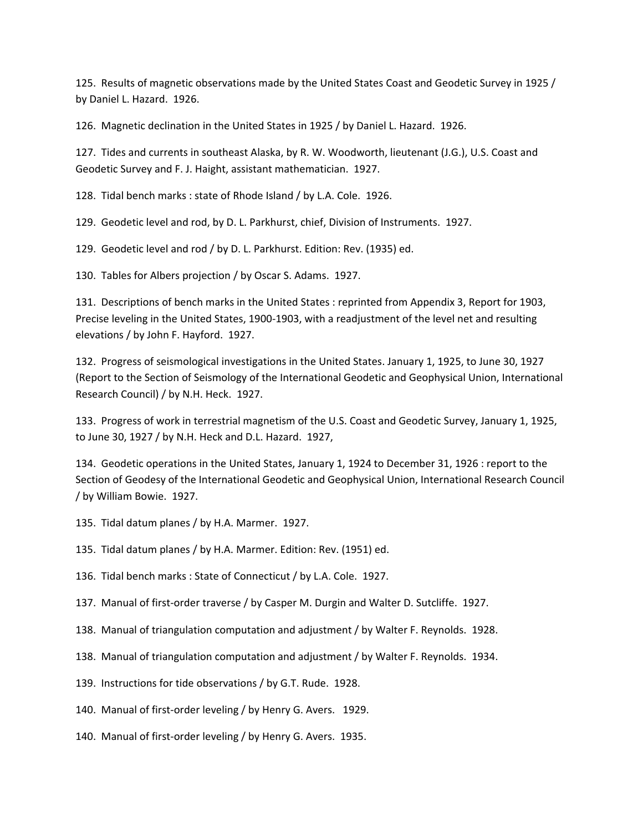125. Results of magnetic observations made by the United States Coast and Geodetic Survey in 1925 / by Daniel L. Hazard. 1926.

126. Magnetic declination in the United States in 1925 / by Daniel L. Hazard. 1926.

127. Tides and currents in southeast Alaska, by R. W. Woodworth, lieutenant (J.G.), U.S. Coast and Geodetic Survey and F. J. Haight, assistant mathematician. 1927.

128. Tidal bench marks : state of Rhode Island / by L.A. Cole. 1926.

129. Geodetic level and rod, by D. L. Parkhurst, chief, Division of Instruments. 1927.

129. Geodetic level and rod / by D. L. Parkhurst. Edition: Rev. (1935) ed.

130. Tables for Albers projection / by Oscar S. Adams. 1927.

131. Descriptions of bench marks in the United States : reprinted from Appendix 3, Report for 1903, Precise leveling in the United States, 1900-1903, with a readjustment of the level net and resulting elevations / by John F. Hayford. 1927.

132. Progress of seismological investigations in the United States. January 1, 1925, to June 30, 1927 (Report to the Section of Seismology of the International Geodetic and Geophysical Union, International Research Council) / by N.H. Heck. 1927.

133. Progress of work in terrestrial magnetism of the U.S. Coast and Geodetic Survey, January 1, 1925, to June 30, 1927 / by N.H. Heck and D.L. Hazard. 1927,

134. Geodetic operations in the United States, January 1, 1924 to December 31, 1926 : report to the Section of Geodesy of the International Geodetic and Geophysical Union, International Research Council / by William Bowie. 1927.

135. Tidal datum planes / by H.A. Marmer. 1927.

135. Tidal datum planes / by H.A. Marmer. Edition: Rev. (1951) ed.

136. Tidal bench marks : State of Connecticut / by L.A. Cole. 1927.

- 137. Manual of first-order traverse / by Casper M. Durgin and Walter D. Sutcliffe. 1927.
- 138. Manual of triangulation computation and adjustment / by Walter F. Reynolds. 1928.
- 138. Manual of triangulation computation and adjustment / by Walter F. Reynolds. 1934.
- 139. Instructions for tide observations / by G.T. Rude. 1928.
- 140. Manual of first-order leveling / by Henry G. Avers. 1929.
- 140. Manual of first-order leveling / by Henry G. Avers. 1935.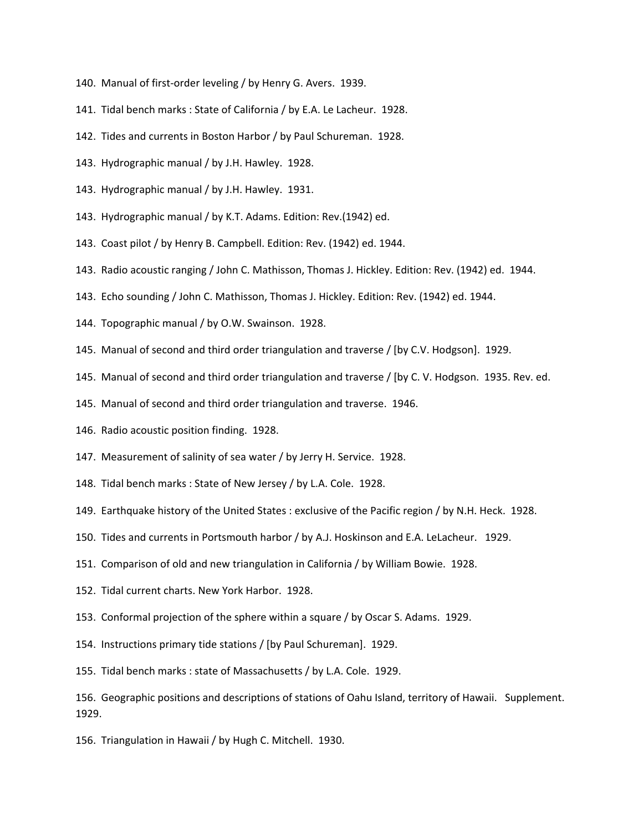- 140. Manual of first-order leveling / by Henry G. Avers. 1939.
- 141. Tidal bench marks : State of California / by E.A. Le Lacheur. 1928.
- 142. Tides and currents in Boston Harbor / by Paul Schureman. 1928.
- 143. Hydrographic manual / by J.H. Hawley. 1928.
- 143. Hydrographic manual / by J.H. Hawley. 1931.
- 143. Hydrographic manual / by K.T. Adams. Edition: Rev.(1942) ed.
- 143. Coast pilot / by Henry B. Campbell. Edition: Rev. (1942) ed. 1944.
- 143. Radio acoustic ranging / John C. Mathisson, Thomas J. Hickley. Edition: Rev. (1942) ed. 1944.
- 143. Echo sounding / John C. Mathisson, Thomas J. Hickley. Edition: Rev. (1942) ed. 1944.
- 144. Topographic manual / by O.W. Swainson. 1928.
- 145. Manual of second and third order triangulation and traverse / [by C.V. Hodgson]. 1929.
- 145. Manual of second and third order triangulation and traverse / [by C. V. Hodgson. 1935. Rev. ed.
- 145. Manual of second and third order triangulation and traverse. 1946.
- 146. Radio acoustic position finding. 1928.
- 147. Measurement of salinity of sea water / by Jerry H. Service. 1928.
- 148. Tidal bench marks : State of New Jersey / by L.A. Cole. 1928.
- 149. Earthquake history of the United States : exclusive of the Pacific region / by N.H. Heck. 1928.
- 150. Tides and currents in Portsmouth harbor / by A.J. Hoskinson and E.A. LeLacheur. 1929.
- 151. Comparison of old and new triangulation in California / by William Bowie. 1928.
- 152. Tidal current charts. New York Harbor. 1928.
- 153. Conformal projection of the sphere within a square / by Oscar S. Adams. 1929.
- 154. Instructions primary tide stations / [by Paul Schureman]. 1929.
- 155. Tidal bench marks : state of Massachusetts / by L.A. Cole. 1929.

156. Geographic positions and descriptions of stations of Oahu Island, territory of Hawaii. Supplement. 1929.

156. Triangulation in Hawaii / by Hugh C. Mitchell. 1930.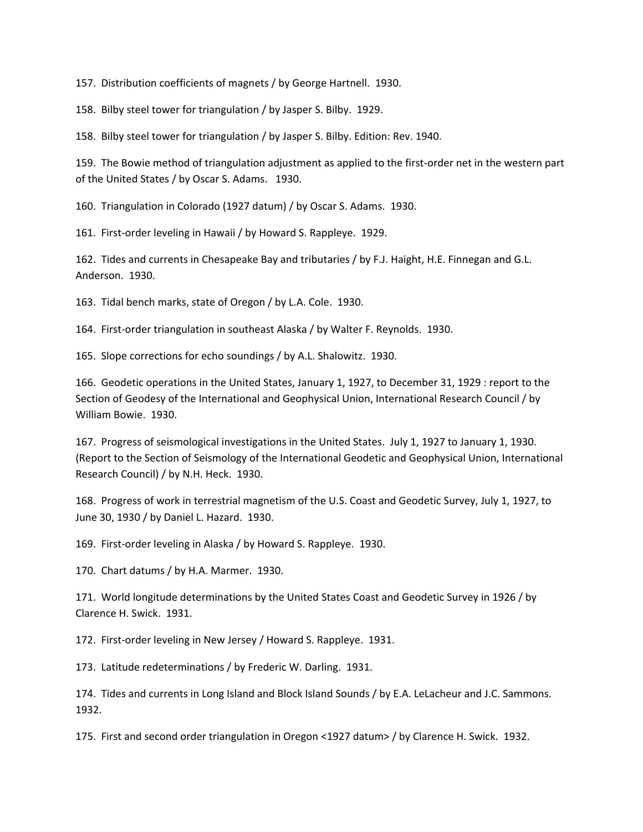157. Distribution coefficients of magnets / by George Hartnell. 1930.

158. Bilby steel tower for triangulation / by Jasper S. Bilby. 1929.

158. Bilby steel tower for triangulation / by Jasper S. Bilby. Edition: Rev. 1940.

159. The Bowie method of triangulation adjustment as applied to the first-order net in the western part of the United States / by Oscar S. Adams. 1930.

160. Triangulation in Colorado (1927 datum) / by Oscar S. Adams. 1930.

161. First-order leveling in Hawaii / by Howard S. Rappleye. 1929.

162. Tides and currents in Chesapeake Bay and tributaries / by F.J. Haight, H.E. Finnegan and G.L. Anderson. 1930.

163. Tidal bench marks, state of Oregon / by L.A. Cole. 1930.

164. First-order triangulation in southeast Alaska / by Walter F. Reynolds. 1930.

165. Slope corrections for echo soundings / by A.L. Shalowitz. 1930.

166. Geodetic operations in the United States, January 1, 1927, to December 31, 1929 : report to the Section of Geodesy of the International and Geophysical Union, International Research Council / by William Bowie. 1930.

167. Progress of seismological investigations in the United States. July 1, 1927 to January 1, 1930. (Report to the Section of Seismology of the International Geodetic and Geophysical Union, International Research Council) / by N.H. Heck. 1930.

168. Progress of work in terrestrial magnetism of the U.S. Coast and Geodetic Survey, July 1, 1927, to June 30, 1930 / by Daniel L. Hazard. 1930.

169. First-order leveling in Alaska / by Howard S. Rappleye. 1930.

170. Chart datums / by H.A. Marmer. 1930.

171. World longitude determinations by the United States Coast and Geodetic Survey in 1926 / by Clarence H. Swick. 1931.

172. First-order leveling in New Jersey / Howard S. Rappleye. 1931.

173. Latitude redeterminations / by Frederic W. Darling. 1931.

174. Tides and currents in Long Island and Block Island Sounds / by E.A. LeLacheur and J.C. Sammons. 1932.

175. First and second order triangulation in Oregon <1927 datum> / by Clarence H. Swick. 1932.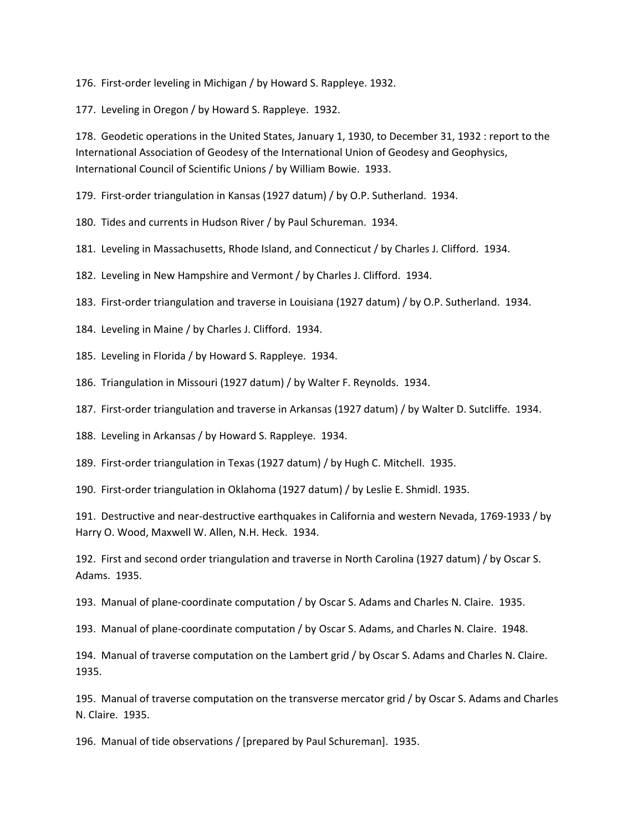176. First-order leveling in Michigan / by Howard S. Rappleye. 1932.

177. Leveling in Oregon / by Howard S. Rappleye. 1932.

178. Geodetic operations in the United States, January 1, 1930, to December 31, 1932 : report to the International Association of Geodesy of the International Union of Geodesy and Geophysics, International Council of Scientific Unions / by William Bowie. 1933.

179. First-order triangulation in Kansas (1927 datum) / by O.P. Sutherland. 1934.

180. Tides and currents in Hudson River / by Paul Schureman. 1934.

181. Leveling in Massachusetts, Rhode Island, and Connecticut / by Charles J. Clifford. 1934.

182. Leveling in New Hampshire and Vermont / by Charles J. Clifford. 1934.

183. First-order triangulation and traverse in Louisiana (1927 datum) / by O.P. Sutherland. 1934.

184. Leveling in Maine / by Charles J. Clifford. 1934.

185. Leveling in Florida / by Howard S. Rappleye. 1934.

186. Triangulation in Missouri (1927 datum) / by Walter F. Reynolds. 1934.

187. First-order triangulation and traverse in Arkansas (1927 datum) / by Walter D. Sutcliffe. 1934.

188. Leveling in Arkansas / by Howard S. Rappleye. 1934.

189. First-order triangulation in Texas (1927 datum) / by Hugh C. Mitchell. 1935.

190. First-order triangulation in Oklahoma (1927 datum) / by Leslie E. Shmidl. 1935.

191. Destructive and near-destructive earthquakes in California and western Nevada, 1769-1933 / by Harry O. Wood, Maxwell W. Allen, N.H. Heck. 1934.

192. First and second order triangulation and traverse in North Carolina (1927 datum) / by Oscar S. Adams. 1935.

193. Manual of plane-coordinate computation / by Oscar S. Adams and Charles N. Claire. 1935.

193. Manual of plane-coordinate computation / by Oscar S. Adams, and Charles N. Claire. 1948.

194. Manual of traverse computation on the Lambert grid / by Oscar S. Adams and Charles N. Claire. 1935.

195. Manual of traverse computation on the transverse mercator grid / by Oscar S. Adams and Charles N. Claire. 1935.

196. Manual of tide observations / [prepared by Paul Schureman]. 1935.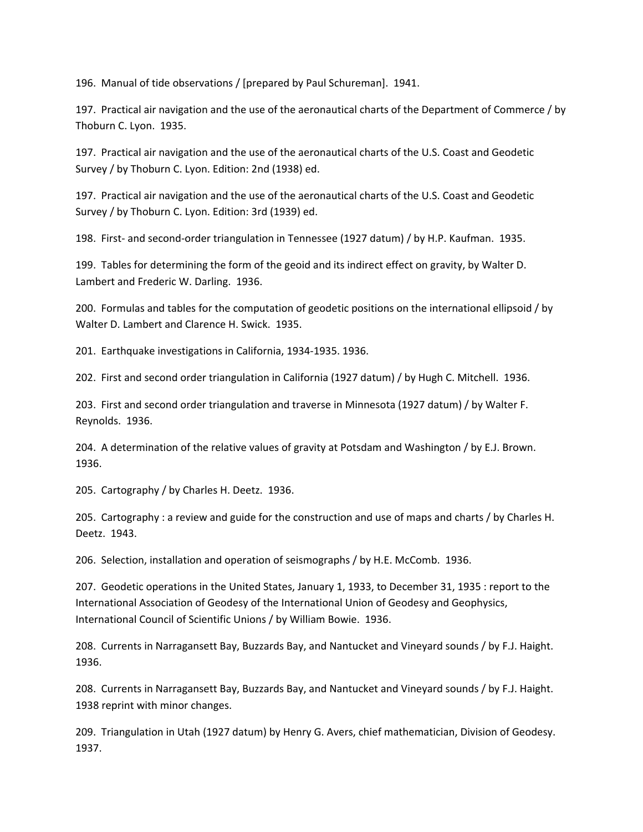196. Manual of tide observations / [prepared by Paul Schureman]. 1941.

197. Practical air navigation and the use of the aeronautical charts of the Department of Commerce / by Thoburn C. Lyon. 1935.

197. Practical air navigation and the use of the aeronautical charts of the U.S. Coast and Geodetic Survey / by Thoburn C. Lyon. Edition: 2nd (1938) ed.

197. Practical air navigation and the use of the aeronautical charts of the U.S. Coast and Geodetic Survey / by Thoburn C. Lyon. Edition: 3rd (1939) ed.

198. First- and second-order triangulation in Tennessee (1927 datum) / by H.P. Kaufman. 1935.

199. Tables for determining the form of the geoid and its indirect effect on gravity, by Walter D. Lambert and Frederic W. Darling. 1936.

200. Formulas and tables for the computation of geodetic positions on the international ellipsoid / by Walter D. Lambert and Clarence H. Swick. 1935.

201. Earthquake investigations in California, 1934-1935. 1936.

202. First and second order triangulation in California (1927 datum) / by Hugh C. Mitchell. 1936.

203. First and second order triangulation and traverse in Minnesota (1927 datum) / by Walter F. Reynolds. 1936.

204. A determination of the relative values of gravity at Potsdam and Washington / by E.J. Brown. 1936.

205. Cartography / by Charles H. Deetz. 1936.

205. Cartography : a review and guide for the construction and use of maps and charts / by Charles H. Deetz. 1943.

206. Selection, installation and operation of seismographs / by H.E. McComb. 1936.

207. Geodetic operations in the United States, January 1, 1933, to December 31, 1935 : report to the International Association of Geodesy of the International Union of Geodesy and Geophysics, International Council of Scientific Unions / by William Bowie. 1936.

208. Currents in Narragansett Bay, Buzzards Bay, and Nantucket and Vineyard sounds / by F.J. Haight. 1936.

208. Currents in Narragansett Bay, Buzzards Bay, and Nantucket and Vineyard sounds / by F.J. Haight. 1938 reprint with minor changes.

209. Triangulation in Utah (1927 datum) by Henry G. Avers, chief mathematician, Division of Geodesy. 1937.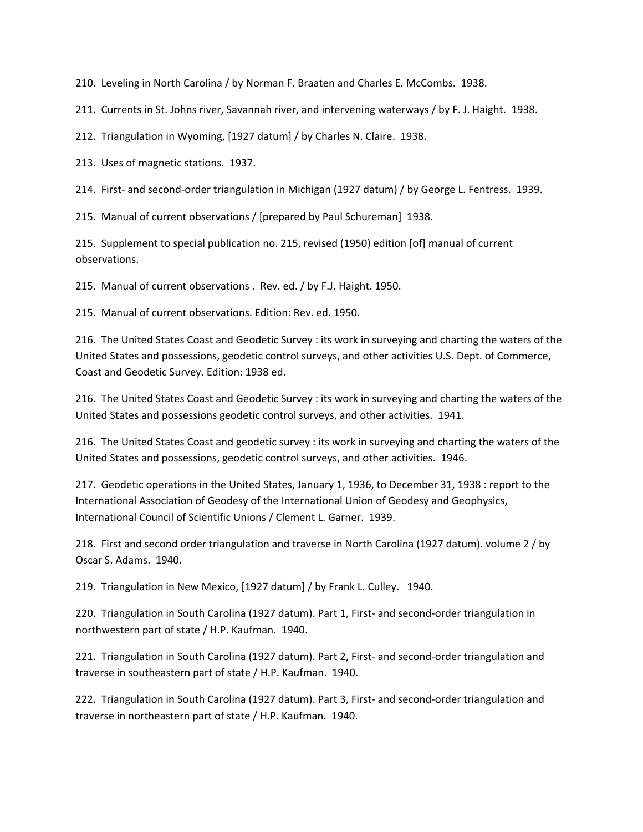210. Leveling in North Carolina / by Norman F. Braaten and Charles E. McCombs. 1938.

211. Currents in St. Johns river, Savannah river, and intervening waterways / by F. J. Haight. 1938.

212. Triangulation in Wyoming, [1927 datum] / by Charles N. Claire. 1938.

213. Uses of magnetic stations. 1937.

214. First- and second-order triangulation in Michigan (1927 datum) / by George L. Fentress. 1939.

215. Manual of current observations / [prepared by Paul Schureman] 1938.

215. Supplement to special publication no. 215, revised (1950) edition [of] manual of current observations.

215. Manual of current observations . Rev. ed. / by F.J. Haight. 1950.

215. Manual of current observations. Edition: Rev. ed. 1950.

216. The United States Coast and Geodetic Survey : its work in surveying and charting the waters of the United States and possessions, geodetic control surveys, and other activities U.S. Dept. of Commerce, Coast and Geodetic Survey. Edition: 1938 ed.

216. The United States Coast and Geodetic Survey : its work in surveying and charting the waters of the United States and possessions geodetic control surveys, and other activities. 1941.

216. The United States Coast and geodetic survey : its work in surveying and charting the waters of the United States and possessions, geodetic control surveys, and other activities. 1946.

217. Geodetic operations in the United States, January 1, 1936, to December 31, 1938 : report to the International Association of Geodesy of the International Union of Geodesy and Geophysics, International Council of Scientific Unions / Clement L. Garner. 1939.

218. First and second order triangulation and traverse in North Carolina (1927 datum). volume 2 / by Oscar S. Adams. 1940.

219. Triangulation in New Mexico, [1927 datum] / by Frank L. Culley. 1940.

220. Triangulation in South Carolina (1927 datum). Part 1, First- and second-order triangulation in northwestern part of state / H.P. Kaufman. 1940.

221. Triangulation in South Carolina (1927 datum). Part 2, First- and second-order triangulation and traverse in southeastern part of state / H.P. Kaufman. 1940.

222. Triangulation in South Carolina (1927 datum). Part 3, First- and second-order triangulation and traverse in northeastern part of state / H.P. Kaufman. 1940.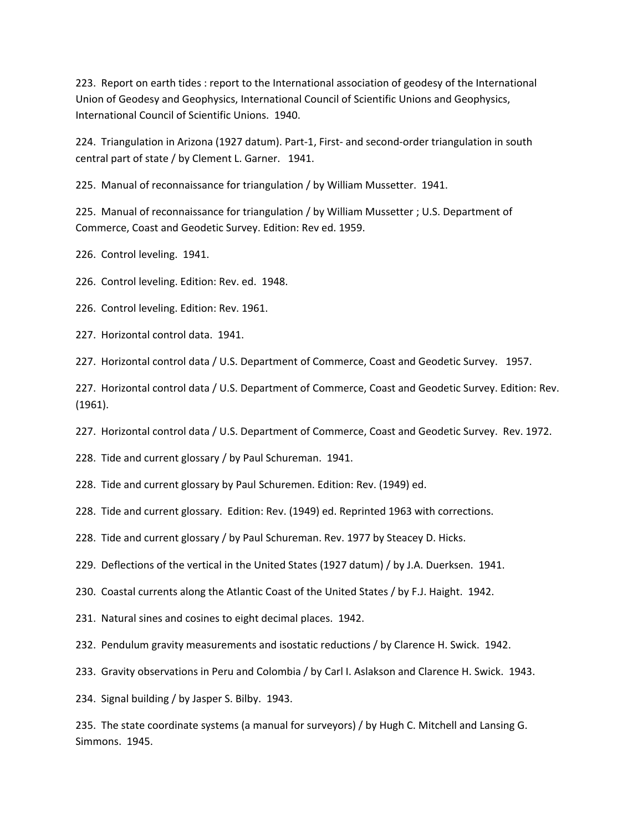223. Report on earth tides : report to the International association of geodesy of the International Union of Geodesy and Geophysics, International Council of Scientific Unions and Geophysics, International Council of Scientific Unions. 1940.

224. Triangulation in Arizona (1927 datum). Part-1, First- and second-order triangulation in south central part of state / by Clement L. Garner. 1941.

225. Manual of reconnaissance for triangulation / by William Mussetter. 1941.

225. Manual of reconnaissance for triangulation / by William Mussetter ; U.S. Department of Commerce, Coast and Geodetic Survey. Edition: Rev ed. 1959.

226. Control leveling. 1941.

226. Control leveling. Edition: Rev. ed. 1948.

226. Control leveling. Edition: Rev. 1961.

227. Horizontal control data. 1941.

227. Horizontal control data / U.S. Department of Commerce, Coast and Geodetic Survey. 1957.

227. Horizontal control data / U.S. Department of Commerce, Coast and Geodetic Survey. Edition: Rev. (1961).

227. Horizontal control data / U.S. Department of Commerce, Coast and Geodetic Survey. Rev. 1972.

228. Tide and current glossary / by Paul Schureman. 1941.

228. Tide and current glossary by Paul Schuremen. Edition: Rev. (1949) ed.

228. Tide and current glossary. Edition: Rev. (1949) ed. Reprinted 1963 with corrections.

228. Tide and current glossary / by Paul Schureman. Rev. 1977 by Steacey D. Hicks.

229. Deflections of the vertical in the United States (1927 datum) / by J.A. Duerksen. 1941.

230. Coastal currents along the Atlantic Coast of the United States / by F.J. Haight. 1942.

231. Natural sines and cosines to eight decimal places. 1942.

232. Pendulum gravity measurements and isostatic reductions / by Clarence H. Swick. 1942.

233. Gravity observations in Peru and Colombia / by Carl I. Aslakson and Clarence H. Swick. 1943.

234. Signal building / by Jasper S. Bilby. 1943.

235. The state coordinate systems (a manual for surveyors) / by Hugh C. Mitchell and Lansing G. Simmons. 1945.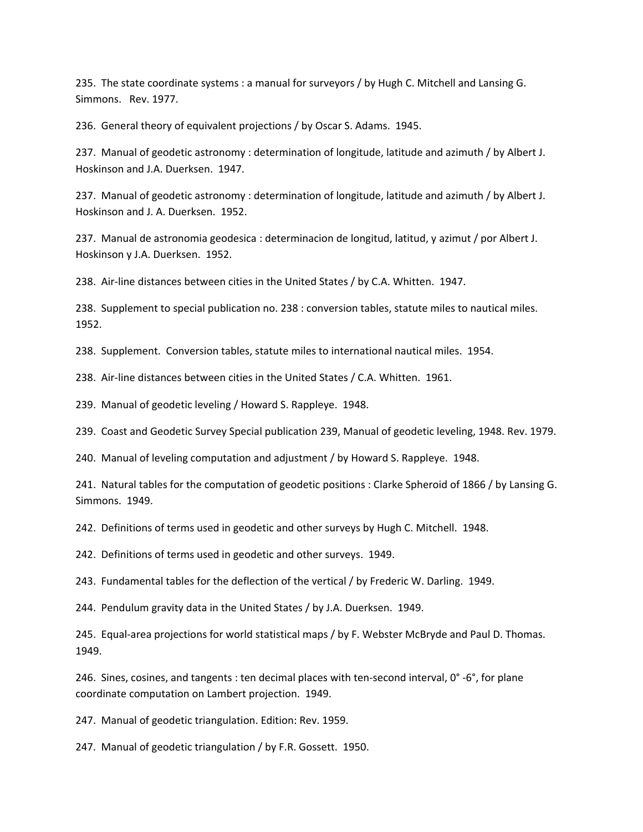235. The state coordinate systems : a manual for surveyors / by Hugh C. Mitchell and Lansing G. Simmons. Rev. 1977.

236. General theory of equivalent projections / by Oscar S. Adams. 1945.

237. Manual of geodetic astronomy : determination of longitude, latitude and azimuth / by Albert J. Hoskinson and J.A. Duerksen. 1947.

237. Manual of geodetic astronomy : determination of longitude, latitude and azimuth / by Albert J. Hoskinson and J. A. Duerksen. 1952.

237. Manual de astronomia geodesica : determinacion de longitud, latitud, y azimut / por Albert J. Hoskinson y J.A. Duerksen. 1952.

238. Air-line distances between cities in the United States / by C.A. Whitten. 1947.

238. Supplement to special publication no. 238 : conversion tables, statute miles to nautical miles. 1952.

238. Supplement. Conversion tables, statute miles to international nautical miles. 1954.

238. Air-line distances between cities in the United States / C.A. Whitten. 1961.

239. Manual of geodetic leveling / Howard S. Rappleye. 1948.

239. Coast and Geodetic Survey Special publication 239, Manual of geodetic leveling, 1948. Rev. 1979.

240. Manual of leveling computation and adjustment / by Howard S. Rappleye. 1948.

241. Natural tables for the computation of geodetic positions : Clarke Spheroid of 1866 / by Lansing G. Simmons. 1949.

242. Definitions of terms used in geodetic and other surveys by Hugh C. Mitchell. 1948.

242. Definitions of terms used in geodetic and other surveys. 1949.

243. Fundamental tables for the deflection of the vertical / by Frederic W. Darling. 1949.

244. Pendulum gravity data in the United States / by J.A. Duerksen. 1949.

245. Equal-area projections for world statistical maps / by F. Webster McBryde and Paul D. Thomas. 1949.

246. Sines, cosines, and tangents : ten decimal places with ten-second interval, 0° -6°, for plane coordinate computation on Lambert projection. 1949.

247. Manual of geodetic triangulation. Edition: Rev. 1959.

247. Manual of geodetic triangulation / by F.R. Gossett. 1950.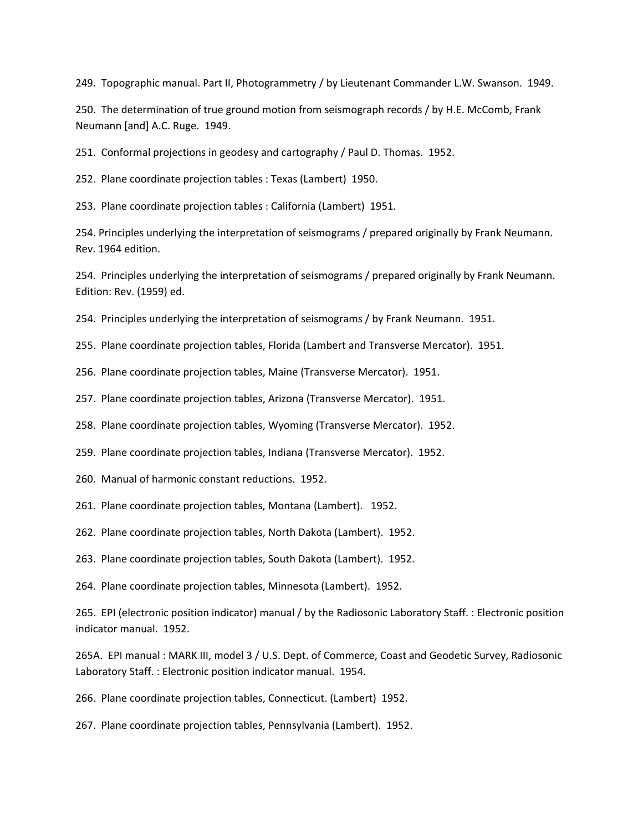249. Topographic manual. Part II, Photogrammetry / by Lieutenant Commander L.W. Swanson. 1949.

250. The determination of true ground motion from seismograph records / by H.E. McComb, Frank Neumann [and] A.C. Ruge. 1949.

251. Conformal projections in geodesy and cartography / Paul D. Thomas. 1952.

252. Plane coordinate projection tables : Texas (Lambert) 1950.

253. Plane coordinate projection tables : California (Lambert) 1951.

254. Principles underlying the interpretation of seismograms / prepared originally by Frank Neumann. Rev. 1964 edition.

254. Principles underlying the interpretation of seismograms / prepared originally by Frank Neumann. Edition: Rev. (1959) ed.

254. Principles underlying the interpretation of seismograms / by Frank Neumann. 1951.

255. Plane coordinate projection tables, Florida (Lambert and Transverse Mercator). 1951.

256. Plane coordinate projection tables, Maine (Transverse Mercator). 1951.

257. Plane coordinate projection tables, Arizona (Transverse Mercator). 1951.

258. Plane coordinate projection tables, Wyoming (Transverse Mercator). 1952.

259. Plane coordinate projection tables, Indiana (Transverse Mercator). 1952.

260. Manual of harmonic constant reductions. 1952.

261. Plane coordinate projection tables, Montana (Lambert). 1952.

262. Plane coordinate projection tables, North Dakota (Lambert). 1952.

263. Plane coordinate projection tables, South Dakota (Lambert). 1952.

264. Plane coordinate projection tables, Minnesota (Lambert). 1952.

265. EPI (electronic position indicator) manual / by the Radiosonic Laboratory Staff. : Electronic position indicator manual. 1952.

265A. EPI manual : MARK III, model 3 / U.S. Dept. of Commerce, Coast and Geodetic Survey, Radiosonic Laboratory Staff. : Electronic position indicator manual. 1954.

266. Plane coordinate projection tables, Connecticut. (Lambert) 1952.

267. Plane coordinate projection tables, Pennsylvania (Lambert). 1952.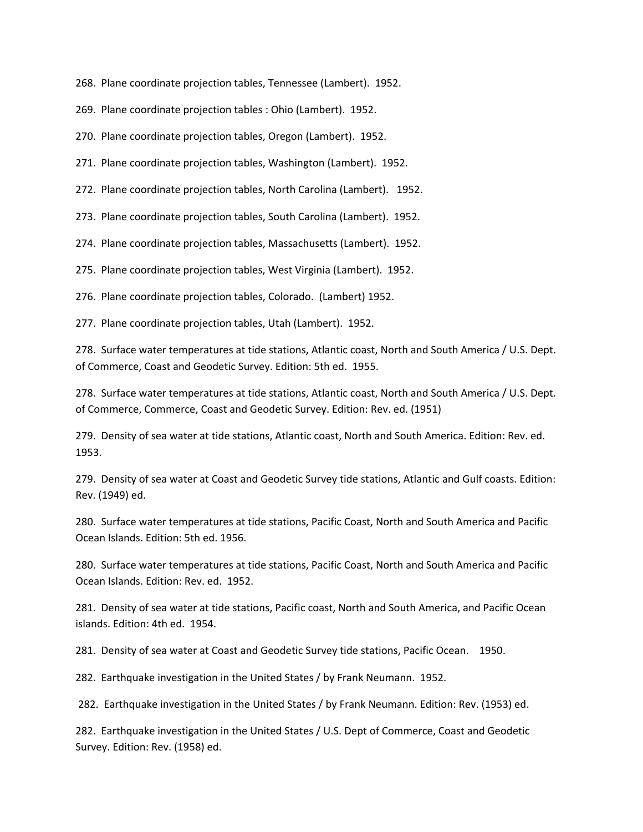268. Plane coordinate projection tables, Tennessee (Lambert). 1952.

269. Plane coordinate projection tables : Ohio (Lambert). 1952.

270. Plane coordinate projection tables, Oregon (Lambert). 1952.

271. Plane coordinate projection tables, Washington (Lambert). 1952.

272. Plane coordinate projection tables, North Carolina (Lambert). 1952.

273. Plane coordinate projection tables, South Carolina (Lambert). 1952.

274. Plane coordinate projection tables, Massachusetts (Lambert). 1952.

275. Plane coordinate projection tables, West Virginia (Lambert). 1952.

276. Plane coordinate projection tables, Colorado. (Lambert) 1952.

277. Plane coordinate projection tables, Utah (Lambert). 1952.

278. Surface water temperatures at tide stations, Atlantic coast, North and South America / U.S. Dept. of Commerce, Coast and Geodetic Survey. Edition: 5th ed. 1955.

278. Surface water temperatures at tide stations, Atlantic coast, North and South America / U.S. Dept. of Commerce, Commerce, Coast and Geodetic Survey. Edition: Rev. ed. (1951)

279. Density of sea water at tide stations, Atlantic coast, North and South America. Edition: Rev. ed. 1953.

279. Density of sea water at Coast and Geodetic Survey tide stations, Atlantic and Gulf coasts. Edition: Rev. (1949) ed.

280. Surface water temperatures at tide stations, Pacific Coast, North and South America and Pacific Ocean Islands. Edition: 5th ed. 1956.

280. Surface water temperatures at tide stations, Pacific Coast, North and South America and Pacific Ocean Islands. Edition: Rev. ed. 1952.

281. Density of sea water at tide stations, Pacific coast, North and South America, and Pacific Ocean islands. Edition: 4th ed. 1954.

281. Density of sea water at Coast and Geodetic Survey tide stations, Pacific Ocean. 1950.

282. Earthquake investigation in the United States / by Frank Neumann. 1952.

282.Earthquake investigation in the United States / by Frank Neumann. Edition: Rev. (1953) ed.

282. Earthquake investigation in the United States / U.S. Dept of Commerce, Coast and Geodetic Survey. Edition: Rev. (1958) ed.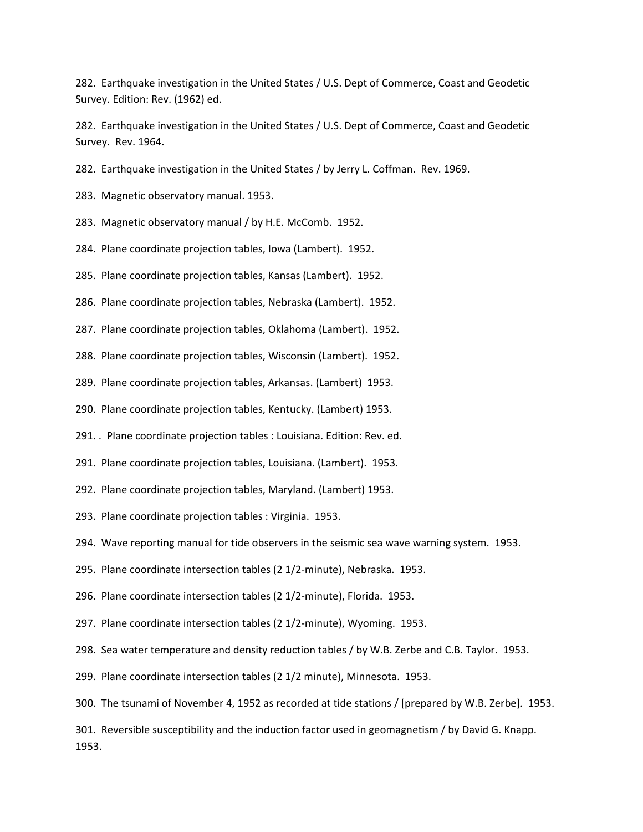282. Earthquake investigation in the United States / U.S. Dept of Commerce, Coast and Geodetic Survey. Edition: Rev. (1962) ed.

282. Earthquake investigation in the United States / U.S. Dept of Commerce, Coast and Geodetic Survey. Rev. 1964.

282. Earthquake investigation in the United States / by Jerry L. Coffman. Rev. 1969.

283. Magnetic observatory manual. 1953.

283. Magnetic observatory manual / by H.E. McComb. 1952.

284. Plane coordinate projection tables, Iowa (Lambert). 1952.

285. Plane coordinate projection tables, Kansas (Lambert). 1952.

286. Plane coordinate projection tables, Nebraska (Lambert). 1952.

287. Plane coordinate projection tables, Oklahoma (Lambert). 1952.

288. Plane coordinate projection tables, Wisconsin (Lambert). 1952.

289. Plane coordinate projection tables, Arkansas. (Lambert) 1953.

290. Plane coordinate projection tables, Kentucky. (Lambert) 1953.

291. . Plane coordinate projection tables : Louisiana. Edition: Rev. ed.

291. Plane coordinate projection tables, Louisiana. (Lambert). 1953.

292. Plane coordinate projection tables, Maryland. (Lambert) 1953.

293. Plane coordinate projection tables : Virginia. 1953.

294. Wave reporting manual for tide observers in the seismic sea wave warning system. 1953.

295. Plane coordinate intersection tables (2 1/2-minute), Nebraska. 1953.

296. Plane coordinate intersection tables (2 1/2-minute), Florida. 1953.

297. Plane coordinate intersection tables (2 1/2-minute), Wyoming. 1953.

298. Sea water temperature and density reduction tables / by W.B. Zerbe and C.B. Taylor. 1953.

299. Plane coordinate intersection tables (2 1/2 minute), Minnesota. 1953.

300. The tsunami of November 4, 1952 as recorded at tide stations / [prepared by W.B. Zerbe]. 1953.

301. Reversible susceptibility and the induction factor used in geomagnetism / by David G. Knapp. 1953.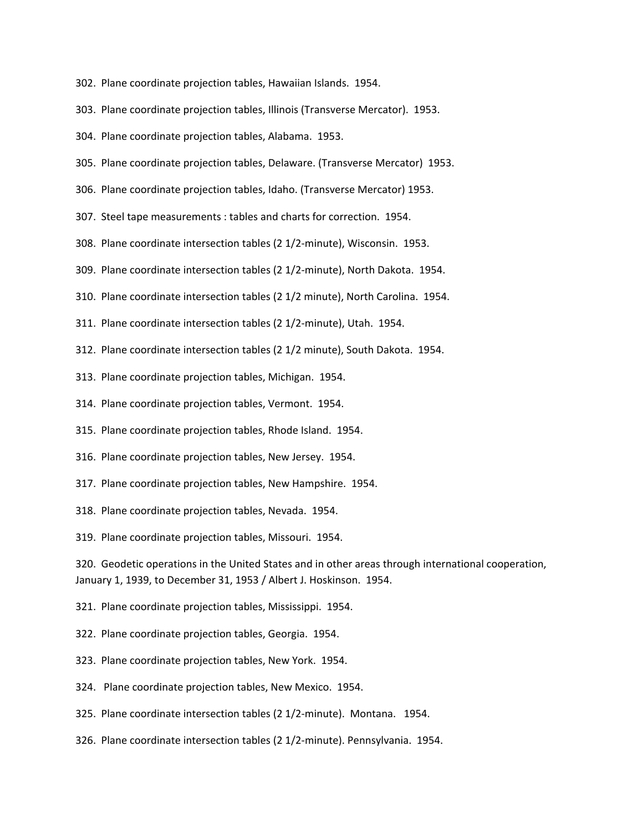- 302. Plane coordinate projection tables, Hawaiian Islands. 1954.
- 303. Plane coordinate projection tables, Illinois (Transverse Mercator). 1953.
- 304. Plane coordinate projection tables, Alabama. 1953.
- 305. Plane coordinate projection tables, Delaware. (Transverse Mercator) 1953.
- 306. Plane coordinate projection tables, Idaho. (Transverse Mercator) 1953.
- 307. Steel tape measurements : tables and charts for correction. 1954.
- 308. Plane coordinate intersection tables (2 1/2-minute), Wisconsin. 1953.
- 309. Plane coordinate intersection tables (2 1/2-minute), North Dakota. 1954.
- 310. Plane coordinate intersection tables (2 1/2 minute), North Carolina. 1954.
- 311. Plane coordinate intersection tables (2 1/2-minute), Utah. 1954.
- 312. Plane coordinate intersection tables (2 1/2 minute), South Dakota. 1954.
- 313. Plane coordinate projection tables, Michigan. 1954.
- 314. Plane coordinate projection tables, Vermont. 1954.
- 315. Plane coordinate projection tables, Rhode Island. 1954.
- 316. Plane coordinate projection tables, New Jersey. 1954.
- 317. Plane coordinate projection tables, New Hampshire. 1954.
- 318. Plane coordinate projection tables, Nevada. 1954.
- 319. Plane coordinate projection tables, Missouri. 1954.

320. Geodetic operations in the United States and in other areas through international cooperation, January 1, 1939, to December 31, 1953 / Albert J. Hoskinson. 1954.

- 321. Plane coordinate projection tables, Mississippi. 1954.
- 322. Plane coordinate projection tables, Georgia. 1954.
- 323. Plane coordinate projection tables, New York. 1954.
- 324. Plane coordinate projection tables, New Mexico. 1954.
- 325. Plane coordinate intersection tables (2 1/2-minute). Montana. 1954.
- 326. Plane coordinate intersection tables (2 1/2-minute). Pennsylvania. 1954.